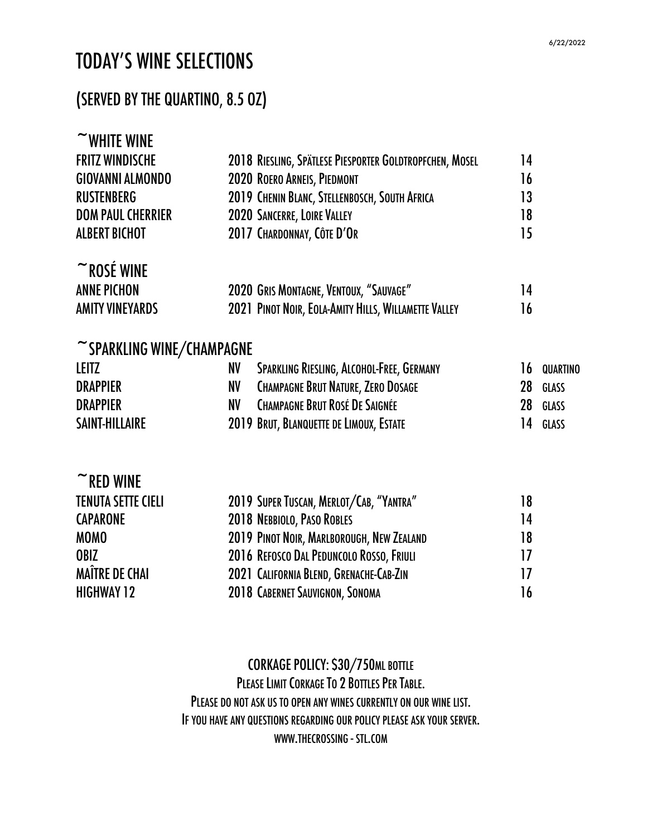# TODAY'S WINE SELECTIONS

### (SERVED BY THE QUARTINO, 8.5 OZ)

| $\sim$ WHITE WINE               |                                                         |    |              |
|---------------------------------|---------------------------------------------------------|----|--------------|
| <b>FRITZ WINDISCHE</b>          | 2018 RIESLING, SPÄTLESE PIESPORTER GOLDTROPFCHEN, MOSEL | 14 |              |
| <b>GIOVANNI ALMONDO</b>         | 2020 ROERO ARNEIS, PIEDMONT                             | 16 |              |
| <b>RUSTENBERG</b>               | 2019 CHENIN BLANC, STELLENBOSCH, SOUTH AFRICA           | 13 |              |
| <b>DOM PAUL CHERRIER</b>        | 2020 SANCERRE, LOIRE VALLEY                             | 18 |              |
| <b>ALBERT BICHOT</b>            | 2017 CHARDONNAY, CÔTE D'OR                              | 15 |              |
| $~\tilde{}$ ROSÉ WINE           |                                                         |    |              |
| <b>ANNE PICHON</b>              | 2020 GRIS MONTAGNE, VENTOUX, "SAUVAGE"                  | 14 |              |
| <b>AMITY VINEYARDS</b>          | 2021 PINOT NOIR, EOLA-AMITY HILLS, WILLAMETTE VALLEY    | 16 |              |
| $\sim$ SPARKLING WINE/CHAMPAGNE |                                                         |    |              |
| <b>LEITZ</b>                    | SPARKLING RIESLING, ALCOHOL-FREE, GERMANY<br>NV         | 16 | QUARTINO     |
| <b>DRAPPIER</b>                 | <b>CHAMPAGNE BRUT NATURE, ZERO DOSAGE</b><br>NV         | 28 | <b>GLASS</b> |
| <b>DRAPPIER</b>                 | <b>CHAMPAGNE BRUT ROSÉ DE SAIGNÉE</b><br><b>NV</b>      | 28 | <b>GLASS</b> |
| <b>SAINT-HILLAIRE</b>           | 2019 BRUT, BLANQUETTE DE LIMOUX, ESTATE                 | 14 | GLASS        |
| $\sim$ RED WINE                 |                                                         |    |              |
| <b>TENUTA SETTE CIELI</b>       | 2019 SUPER TUSCAN, MERLOT/CAB, "YANTRA"                 | 18 |              |
| <b>CAPARONE</b>                 | 2018 NEBBIOLO, PASO ROBLES                              | 14 |              |
| <b>MOMO</b>                     | 2019 PINOT NOIR, MARLBOROUGH, NEW ZEALAND               | 18 |              |
| OBIZ                            | 2016 REFOSCO DAL PEDUNCOLO ROSSO, FRIULI                | 17 |              |
| <b>MAÎTRE DE CHAI</b>           | 2021 CALIFORNIA BLEND, GRENACHE-CAB-ZIN                 | 17 |              |
| <b>HIGHWAY 12</b>               | 2018 CABERNET SAUVIGNON, SONOMA                         | 16 |              |
|                                 |                                                         |    |              |

CORKAGE POLICY: \$30/750ML BOTTLE PLEASE LIMIT CORKAGE TO 2 BOTTLES PER TABLE. PLEASE DO NOT ASK US TO OPEN ANY WINES CURRENTLY ON OUR WINE LIST. IF YOU HAVE ANY QUESTIONS REGARDING OUR POLICY PLEASE ASK YOUR SERVER. WWW.THECROSSING - STL.COM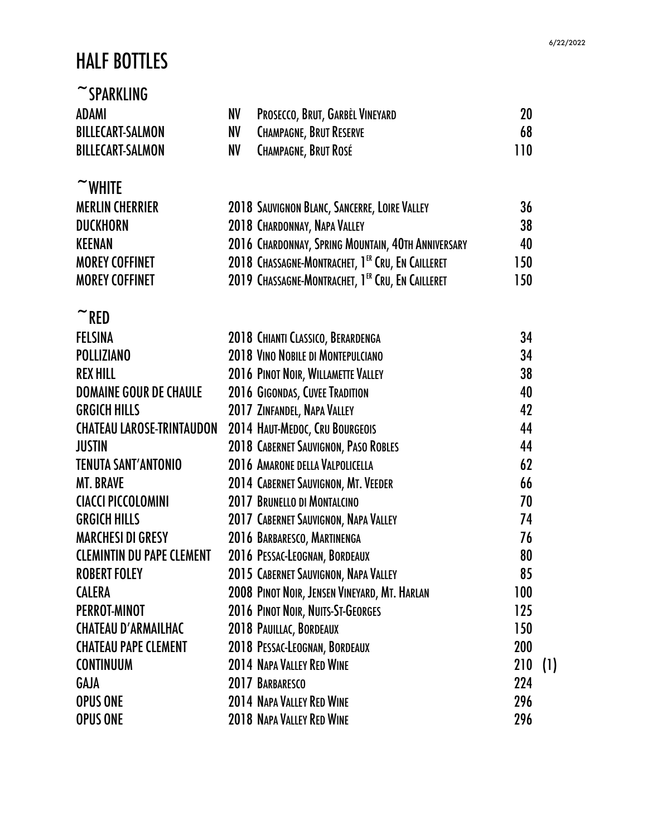#### HALF BOTTLES

#### $~\tilde{}$ SPARKLING ADAMI NV PROSECCO, BRUT, GARBÈL VINEYARD 20 BILLECART-SALMON NV CHAMPAGNE, BRUT RESERVE 68 BILLECART-SALMON NV CHAMPAGNE, BRUT ROSÉ NATURAL NO 110  $\sim$  WHITE MERLIN CHERRIER 2018 SAUVIGNON BLANC, SANCERRE, LOIRE VALLEY 36 DUCKHORN 2018 CHARDONNAY, NAPA VALLEY 38 KEENAN 2016 CHARDONNAY, SPRING MOUNTAIN, 40TH ANNIVERSARY 40 MOREYCOFFINET 2018 CHASSAGNE-MONTRACHET, 1 ER CRU,EN CAILLERET 150 MOREYCOFFINET 2019 CHASSAGNE-MONTRACHET, 1 ER CRU,EN CAILLERET 150  $~\tilde{}$ RED FELSINA 2018 CHIANTI CLASSICO, BERARDENGA 34 POLLIZIANO 2018 VINO NOBILE DI MONTEPULCIANO 34 REX HILL **2016 PINOT NOIR, WILLAMETTE VALLEY** 38 DOMAINE GOUR DE CHAULE 2016 GIGONDAS, CUVEE TRADITION 40 GRGICH HILLS 2017 ZINFANDEL, NAPA VALLEY 2012 CHATEAU LAROSE-TRINTAUDON 2014 HAUT-MEDOC,CRU BOURGEOIS 44 JUSTIN 2018 CABERNET SAUVIGNON,PASO ROBLES 44 TENUTA SANT'ANTONIO 2016 AMARONE DELLA VALPOLICELLA 62 MT. BRAVE 2014 CABERNET SAUVIGNON, MT. VEEDER CIACCIPICCOLOMINI 2017 BRUNELLO DI MONTALCINO 70 GRGICH HILLS 2017 CABERNET SAUVIGNON, NAPA VALLEY 74 MARCHESI DI GRESY 2016 BARBARESCO, MARTINENGA 76 CLEMINTIN DU PAPECLEMENT 2016 PESSAC-LEOGNAN, BORDEAUX 80 ROBERT FOLEY 2015 CABERNET SAUVIGNON, NAPA VALLEY 85 CALERA 2008 PINOT NOIR, JENSEN VINEYARD, MT. HARLAN 100 PERROT-MINOT 2016 PINOT NOIR, NUITS-ST-GEORGES 125 CHATEAU D'ARMAILHAC 2018 PAUILLAC, BORDEAUX 150 CHATEAU PAPECLEMENT 2018 PESSAC-LEOGNAN, BORDEAUX 200 CONTINUUM 2014 NAPA VALLEY RED WINE 210 (1) GAJA 2017 BARBARESCO 224 OPUS ONE 2014 NAPA VALLEY RED WINE 296 OPUS ONE 2018 NAPA VALLEY RED WINE 296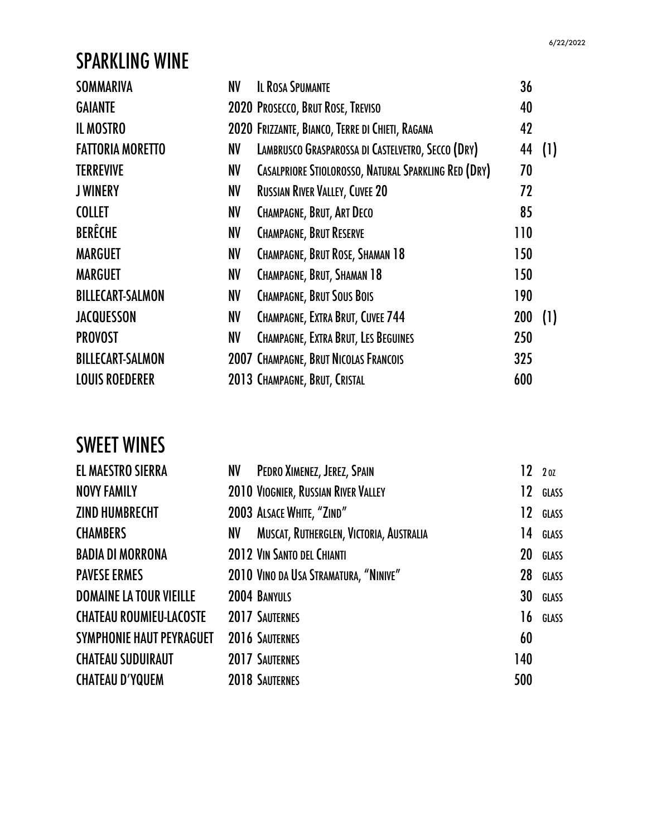# SPARKLING WINE

| <b>SOMMARIVA</b>        | NV | <b>IL ROSA SPUMANTE</b>                                     | 36         |     |
|-------------------------|----|-------------------------------------------------------------|------------|-----|
| <b>GAIANTE</b>          |    | 2020 PROSECCO, BRUT ROSE, TREVISO                           | 40         |     |
| <b>IL MOSTRO</b>        |    | 2020 FRIZZANTE, BIANCO, TERRE DI CHIETI, RAGANA             | 42         |     |
| <b>FATTORIA MORETTO</b> | NV | LAMBRUSCO GRASPAROSSA DI CASTELVETRO, SECCO (DRY)           | 44         | (1) |
| <b>TERREVIVE</b>        | NV | <b>CASALPRIORE STIOLOROSSO, NATURAL SPARKLING RED (DRY)</b> | 70         |     |
| <b>JWINERY</b>          | NV | <b>RUSSIAN RIVER VALLEY, CUVEE 20</b>                       | 72         |     |
| <b>COLLET</b>           | NV | <b>CHAMPAGNE, BRUT, ART DECO</b>                            | 85         |     |
| <b>BERÊCHE</b>          | NV | <b>CHAMPAGNE, BRUT RESERVE</b>                              | 110        |     |
| <b>MARGUET</b>          | NV | CHAMPAGNE, BRUT ROSE, SHAMAN 18                             | 150        |     |
| <b>MARGUET</b>          | NV | CHAMPAGNE, BRUT, SHAMAN 18                                  | 150        |     |
| <b>BILLECART-SALMON</b> | NV | <b>CHAMPAGNE, BRUT SOUS BOIS</b>                            | 190        |     |
| <b>JACQUESSON</b>       | NV | <b>CHAMPAGNE, EXTRA BRUT, CUVEE 744</b>                     | <b>200</b> | (1) |
| <b>PROVOST</b>          | NV | <b>CHAMPAGNE, EXTRA BRUT, LES BEGUINES</b>                  | 250        |     |
| <b>BILLECART-SALMON</b> |    | 2007 CHAMPAGNE, BRUT NICOLAS FRANCOIS                       | 325        |     |
| <b>LOUIS ROEDERER</b>   |    | 2013 CHAMPAGNE, BRUT, CRISTAL                               | 600        |     |
|                         |    |                                                             |            |     |

# SWEET WINES

| <b>EL MAESTRO SIERRA</b>       | NV  | PEDRO XIMENEZ, JEREZ, SPAIN             |     |    | 1220Z        |
|--------------------------------|-----|-----------------------------------------|-----|----|--------------|
| <b>NOVY FAMILY</b>             |     | 2010 VIOGNIER, RUSSIAN RIVER VALLEY     |     | 12 | GLASS        |
| ZIND HUMBRECHT                 |     | 2003 ALSACE WHITE, "ZIND"               |     | 12 | GLASS        |
| <b>CHAMBERS</b>                | NV. | MUSCAT, RUTHERGLEN, VICTORIA, AUSTRALIA |     | 14 | GLASS        |
| BADIA DI MORRONA               |     | 2012 VIN SANTO DEL CHIANTI              |     | 20 | GLASS        |
| <b>PAVESE ERMES</b>            |     | 2010 VINO DA USA STRAMATURA, "NINIVE"   |     | 28 | GLASS        |
| <b>DOMAINE LA TOUR VIEILLE</b> |     | 2004 BANYULS                            |     | 30 | <b>GLASS</b> |
| <b>CHATEAU ROUMIEU-LACOSTE</b> |     | <b>2017 SAUTERNES</b>                   |     | 16 | GLASS        |
| SYMPHONIE HAUT PEYRAGUET       |     | 2016 SAUTERNES                          |     | 60 |              |
| <b>CHATEAU SUDUIRAUT</b>       |     | <b>2017 SAUTERNES</b>                   | 140 |    |              |
| CHATEAU D'YQUEM                |     | <b>2018 SAUTERNES</b>                   | 500 |    |              |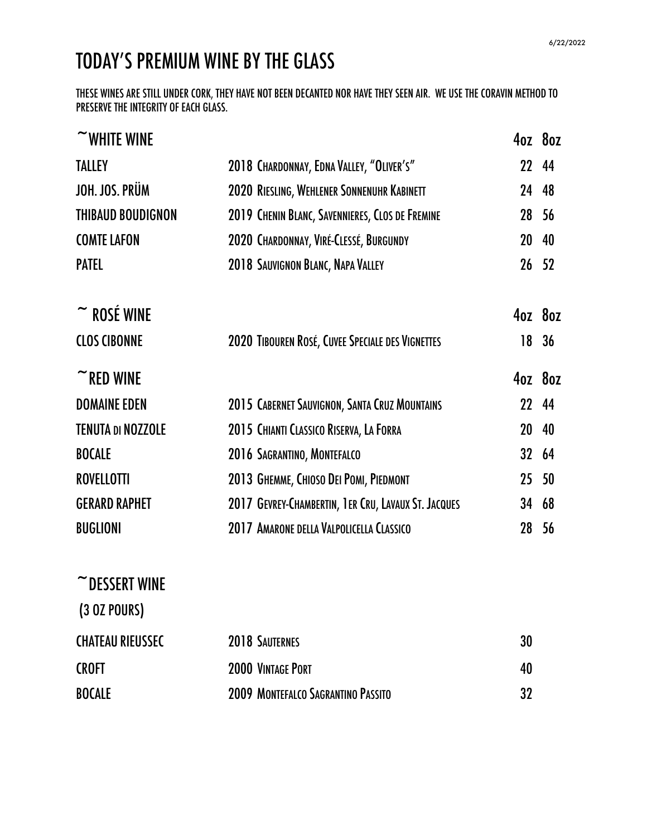# TODAY'S PREMIUM WINE BY THE GLASS

THESE WINES ARE STILL UNDER CORK, THEY HAVE NOT BEEN DECANTED NOR HAVE THEY SEEN AIR. WE USE THE CORAVIN METHOD TO PRESERVE THE INTEGRITY OF EACH GLASS.

| $\sim$ WHITE WINE               |                                                     |        | 4oz 8oz |
|---------------------------------|-----------------------------------------------------|--------|---------|
| <b>TALLEY</b>                   | 2018 CHARDONNAY, EDNA VALLEY, "OLIVER'S"            |        | 22 44   |
| JOH. JOS. PRÜM                  | 2020 RIESLING, WEHLENER SONNENUHR KABINETT          |        | 24 48   |
| <b>THIBAUD BOUDIGNON</b>        | 2019 CHENIN BLANC, SAVENNIERES, CLOS DE FREMINE     |        | 28 56   |
| <b>COMTE LAFON</b>              | 2020 CHARDONNAY, VIRÉ-CLESSÉ, BURGUNDY              | 20     | 40      |
| <b>PATEL</b>                    | 2018 SAUVIGNON BLANC, NAPA VALLEY                   |        | 26 52   |
| $\tilde{\phantom{a}}$ ROSÉ WINE |                                                     |        | 4oz 8oz |
| <b>CLOS CIBONNE</b>             | 2020 TIBOUREN ROSÉ, CUVEE SPECIALE DES VIGNETTES    | 18     | 36      |
| $\sim$ RED WINE                 |                                                     |        | 4oz 8oz |
| <b>DOMAINE EDEN</b>             | 2015 CABERNET SAUVIGNON, SANTA CRUZ MOUNTAINS       |        | 22 44   |
| <b>TENUTA DI NOZZOLE</b>        | 2015 CHIANTI CLASSICO RISERVA, LA FORRA             | 20     | 40      |
| <b>BOCALE</b>                   | 2016 SAGRANTINO, MONTEFALCO                         |        | 32 64   |
| <b>ROVELLOTTI</b>               | 2013 GHEMME, CHIOSO DEI POMI, PIEDMONT              | $25\,$ | 50      |
| <b>GERARD RAPHET</b>            | 2017 GEVREY-CHAMBERTIN, 1ER CRU, LAVAUX ST. JACQUES |        | 34 68   |
| <b>BUGLIONI</b>                 | 2017 AMARONE DELLA VALPOLICELLA CLASSICO            |        | 28 56   |
| $\sim$ DESSERT WINE             |                                                     |        |         |
| (3 OZ POURS)                    |                                                     |        |         |

| <b>CHATEAU RIEUSSEC</b> | <b>2018 SAUTERNES</b>                     | 30 |
|-------------------------|-------------------------------------------|----|
| <b>CROFT</b>            | <b>2000 VINTAGE PORT</b>                  | 40 |
| <b>BOCALE</b>           | <b>2009 MONTEFALCO SAGRANTINO PASSITO</b> | 32 |